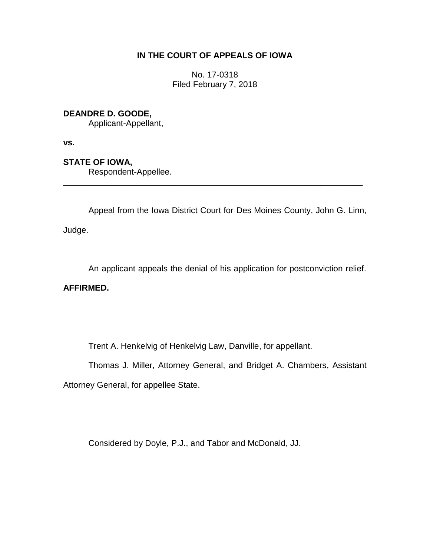### **IN THE COURT OF APPEALS OF IOWA**

No. 17-0318 Filed February 7, 2018

## **DEANDRE D. GOODE,**

Applicant-Appellant,

**vs.**

# **STATE OF IOWA,**

Respondent-Appellee.

Appeal from the Iowa District Court for Des Moines County, John G. Linn,

\_\_\_\_\_\_\_\_\_\_\_\_\_\_\_\_\_\_\_\_\_\_\_\_\_\_\_\_\_\_\_\_\_\_\_\_\_\_\_\_\_\_\_\_\_\_\_\_\_\_\_\_\_\_\_\_\_\_\_\_\_\_\_\_

Judge.

An applicant appeals the denial of his application for postconviction relief.

### **AFFIRMED.**

Trent A. Henkelvig of Henkelvig Law, Danville, for appellant.

Thomas J. Miller, Attorney General, and Bridget A. Chambers, Assistant

Attorney General, for appellee State.

Considered by Doyle, P.J., and Tabor and McDonald, JJ.